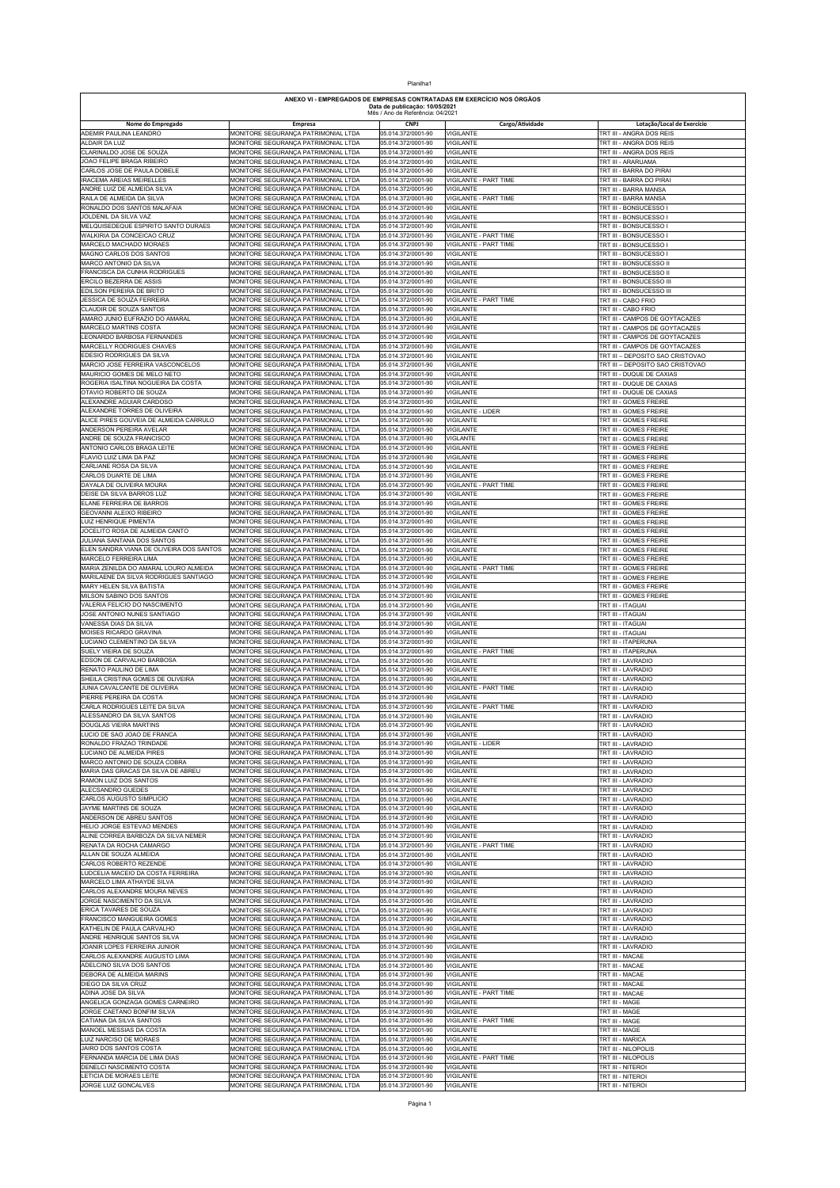| Planilha1                                                                                                                                   |                                                                            |  |                                          |                                                |                                                                    |  |  |  |
|---------------------------------------------------------------------------------------------------------------------------------------------|----------------------------------------------------------------------------|--|------------------------------------------|------------------------------------------------|--------------------------------------------------------------------|--|--|--|
| ANEXO VI - EMPREGADOS DE EMPRESAS CONTRATADAS EM EXERCÍCIO NOS ÓRGÃOS<br>Data de publicação: 10/05/2021<br>Mês / Ano de Referência: 04/2021 |                                                                            |  |                                          |                                                |                                                                    |  |  |  |
| Nome do Empregado                                                                                                                           | Empresa                                                                    |  | <b>CNPJ</b>                              | Cargo/Atividade                                | Lotação/Local de Exercício                                         |  |  |  |
| ADEMIR PAULINA LEANDRO<br>ALDAIR DA LUZ                                                                                                     | MONITORE SEGURANÇA PATRIMONIAL LTDA<br>MONITORE SEGURANÇA PATRIMONIAL LTDA |  | 05.014.372/0001-90<br>05.014.372/0001-90 | <b>VIGILANTE</b><br><b>VIGILANTE</b>           | TRT III - ANGRA DOS REIS<br>TRT III - ANGRA DOS REIS               |  |  |  |
| CLARINALDO JOSE DE SOUZA<br>JOAO FELIPE BRAGA RIBEIRO                                                                                       | MONITORE SEGURANÇA PATRIMONIAL LTDA<br>MONITORE SEGURANÇA PATRIMONIAL LTDA |  | 05.014.372/0001-90<br>05.014.372/0001-90 | <b>VIGILANTE</b><br><b>VIGILANTE</b>           | TRT III - ANGRA DOS REIS<br>TRT III - ARARUAMA                     |  |  |  |
| CARLOS JOSE DE PAULA DOBELE                                                                                                                 | MONITORE SEGURANÇA PATRIMONIAL LTDA                                        |  | 05.014.372/0001-90                       | <b>VIGILANTE</b>                               | TRT III - BARRA DO PIRAI                                           |  |  |  |
| <b>IRACEMA AREIAS MEIRELLES</b><br>ANDRE LUIZ DE ALMEIDA SILVA                                                                              | MONITORE SEGURANCA PATRIMONIAL LTDA<br>MONITORE SEGURANÇA PATRIMONIAL LTDA |  | 05.014.372/0001-90<br>05.014.372/0001-90 | VIGILANTE - PART TIME<br><b>VIGILANTE</b>      | TRT III - BARRA DO PIRAI<br>TRT III - BARRA MANSA                  |  |  |  |
| RAILA DE ALMEIDA DA SILVA                                                                                                                   | MONITORE SEGURANÇA PATRIMONIAL LTDA                                        |  | 05.014.372/0001-90                       | VIGILANTE - PART TIME                          | TRT III - BARRA MANSA                                              |  |  |  |
| RONALDO DOS SANTOS MALAFAIA<br>JOLDENIL DA SILVA VAZ                                                                                        | MONITORE SEGURANÇA PATRIMONIAL LTDA<br>MONITORE SEGURANÇA PATRIMONIAL LTDA |  | 05.014.372/0001-90                       | <b>VIGILANTE</b>                               | TRT III - BONSUCESSO I                                             |  |  |  |
| MELQUISEDEQUE ESPIRITO SANTO DURAES                                                                                                         | MONITORE SEGURANÇA PATRIMONIAL LTDA                                        |  | 05.014.372/0001-90<br>05.014.372/0001-90 | VIGILANTE<br>VIGILANTE                         | TRT III - BONSUCESSO I<br>TRT III - BONSUCESSO I                   |  |  |  |
| WALKIRIA DA CONCEICAO CRUZ<br>MARCELO MACHADO MORAES                                                                                        | MONITORE SEGURANÇA PATRIMONIAL LTDA<br>MONITORE SEGURANÇA PATRIMONIAL LTDA |  | 05.014.372/0001-90<br>05.014.372/0001-90 | VIGILANTE - PART TIME<br>VIGILANTE - PART TIME | TRT III - BONSUCESSO I<br>TRT III - BONSUCESSO I                   |  |  |  |
| MAGNO CARLOS DOS SANTOS                                                                                                                     | MONITORE SEGURANÇA PATRIMONIAL LTDA                                        |  | 05.014.372/0001-90                       | <b>VIGILANTE</b>                               | TRT III - BONSUCESSO I                                             |  |  |  |
| MARCO ANTONIO DA SILVA<br>FRANCISCA DA CUNHA RODRIGUES                                                                                      | MONITORE SEGURANÇA PATRIMONIAL LTDA<br>MONITORE SEGURANÇA PATRIMONIAL LTDA |  | 05.014.372/0001-90<br>05.014.372/0001-90 | VIGILANTE<br>VIGILANTE                         | TRT III - BONSUCESSO II<br>TRT III - BONSUCESSO II                 |  |  |  |
| ERCILO BEZERRA DE ASSIS                                                                                                                     | MONITORE SEGURANÇA PATRIMONIAL LTDA                                        |  | 05.014.372/0001-90                       | <b>VIGILANTE</b>                               | TRT III - BONSUCESSO III                                           |  |  |  |
| EDILSON PEREIRA DE BRITO<br>JESSICA DE SOUZA FERREIRA                                                                                       | MONITORE SEGURANÇA PATRIMONIAL LTDA<br>MONITORE SEGURANÇA PATRIMONIAL LTDA |  | 05.014.372/0001-90<br>05.014.372/0001-90 | <b>VIGILANTE</b><br>VIGILANTE - PART TIME      | TRT III - BONSUCESSO III<br>TRT III - CABO FRIO                    |  |  |  |
| CLAUDIR DE SOUZA SANTOS                                                                                                                     | MONITORE SEGURANÇA PATRIMONIAL LTDA                                        |  | 05.014.372/0001-90                       | <b>VIGILANTE</b>                               | TRT III - CABO FRIO                                                |  |  |  |
| AMARO JUNIO EUFRAZIO DO AMARAL<br>MARCELO MARTINS COSTA                                                                                     | MONITORE SEGURANÇA PATRIMONIAL LTDA<br>MONITORE SEGURANÇA PATRIMONIAL LTDA |  | 05.014.372/0001-90<br>05.014.372/0001-90 | VIGILANTE<br>VIGILANTE                         | TRT III - CAMPOS DE GOYTACAZES<br>TRT III - CAMPOS DE GOYTACAZES   |  |  |  |
| LEONARDO BARBOSA FERNANDES                                                                                                                  | MONITORE SEGURANÇA PATRIMONIAL LTDA                                        |  | 05.014.372/0001-90                       | VIGILANTE                                      | TRT III - CAMPOS DE GOYTACAZES                                     |  |  |  |
| MARCELLY RODRIGUES CHAVES<br>EDESIO RODRIGUES DA SILVA                                                                                      | MONITORE SEGURANÇA PATRIMONIAL LTDA<br>MONITORE SEGURANÇA PATRIMONIAL LTDA |  | 05.014.372/0001-90<br>05.014.372/0001-90 | VIGILANTE<br>VIGILANTE                         | TRT III - CAMPOS DE GOYTACAZES<br>TRT III - DEPOSITO SAO CRISTOVAO |  |  |  |
| MARCIO JOSE FERREIRA VASCONCELOS                                                                                                            | MONITORE SEGURANÇA PATRIMONIAL LTDA                                        |  | 05.014.372/0001-90                       | <b>VIGILANTE</b>                               | TRT III - DEPOSITO SAO CRISTOVAO                                   |  |  |  |
| MAURICIO GOMES DE MELO NETO<br>ROGERIA ISALTINA NOGUEIRA DA COSTA                                                                           | MONITORE SEGURANÇA PATRIMONIAL LTDA<br>MONITORE SEGURANÇA PATRIMONIAL LTDA |  | 05.014.372/0001-90<br>05.014.372/0001-90 | <b>VIGILANTE</b><br><b>VIGILANTE</b>           | TRT III - DUQUE DE CAXIAS<br>TRT III - DUQUE DE CAXIAS             |  |  |  |
| OTAVIO ROBERTO DE SOUZA                                                                                                                     | MONITORE SEGURANÇA PATRIMONIAL LTDA                                        |  | 05.014.372/0001-90                       | <b>VIGILANTE</b>                               | TRT III - DUQUE DE CAXIAS                                          |  |  |  |
| ALEXANDRE AGUIAR CARDOSO<br>ALEXANDRE TORRES DE OLIVEIRA                                                                                    | MONITORE SEGURANÇA PATRIMONIAL LTDA                                        |  | 05.014.372/0001-90                       | VIGILANTE                                      | TRT III - GOMES FREIRE                                             |  |  |  |
| ALICE PIRES GOUVEIA DE ALMEIDA CARRULO                                                                                                      | MONITORE SEGURANÇA PATRIMONIAL LTDA<br>MONITORE SEGURANÇA PATRIMONIAL LTDA |  | 05.014.372/0001-90<br>05.014.372/0001-90 | VIGILANTE - LIDER<br>VIGILANTE                 | TRT III - GOMES FREIRE<br>TRT III - GOMES FREIRE                   |  |  |  |
| ANDERSON PEREIRA AVELAR                                                                                                                     | MONITORE SEGURANÇA PATRIMONIAL LTDA                                        |  | 05.014.372/0001-90                       | VIGILANTE                                      | TRT III - GOMES FREIRE                                             |  |  |  |
| ANDRE DE SOUZA FRANCISCO<br>ANTONIO CARLOS BRAGA LEITE                                                                                      | MONITORE SEGURANÇA PATRIMONIAL LTDA<br>MONITORE SEGURANÇA PATRIMONIAL LTDA |  | 05.014.372/0001-90<br>05.014.372/0001-90 | VIGLANTE<br>VIGILANTE                          | TRT III - GOMES FREIRE<br>TRT III - GOMES FREIRE                   |  |  |  |
| FLAVIO LUIZ LIMA DA PAZ                                                                                                                     | MONITORE SEGURANÇA PATRIMONIAL LTDA                                        |  | 05.014.372/0001-90                       | <b>VIGILANTE</b>                               | TRT III - GOMES FREIRE                                             |  |  |  |
| CARLIANE ROSA DA SILVA<br>CARLOS DUARTE DE LIMA                                                                                             | MONITORE SEGURANÇA PATRIMONIAL LTDA<br>MONITORE SEGURANÇA PATRIMONIAL LTDA |  | 05.014.372/0001-90<br>05.014.372/0001-90 | VIGILANTE<br><b>VIGILANTE</b>                  | TRT III - GOMES FREIRE<br>TRT III - GOMES FREIRE                   |  |  |  |
| DAYALA DE OLIVEIRA MOURA                                                                                                                    | MONITORE SEGURANÇA PATRIMONIAL LTDA                                        |  | 05.014.372/0001-90                       | VIGILANTE - PART TIME                          | TRT III - GOMES FREIRE                                             |  |  |  |
| DEISE DA SILVA BARROS LUZ<br>ELANE FERREIRA DE BARROS                                                                                       | MONITORE SEGURANÇA PATRIMONIAL LTDA<br>MONITORE SEGURANÇA PATRIMONIAL LTDA |  | 05.014.372/0001-90<br>05.014.372/0001-90 | <b>VIGILANTE</b><br><b>VIGILANTE</b>           | TRT III - GOMES FREIRE<br>TRT III - GOMES FREIRE                   |  |  |  |
| GEOVANNI ALEIXO RIBEIRO                                                                                                                     | MONITORE SEGURANÇA PATRIMONIAL LTDA                                        |  | 05.014.372/0001-90                       | VIGILANTE                                      | TRT III - GOMES FREIRE                                             |  |  |  |
| LUIZ HENRIQUE PIMENTA<br>JOCELITO ROSA DE ALMEIDA CANTO                                                                                     | MONITORE SEGURANÇA PATRIMONIAL LTDA<br>MONITORE SEGURANÇA PATRIMONIAL LTDA |  | 05.014.372/0001-90<br>05.014.372/0001-90 | VIGILANTE<br>VIGILANTE                         | TRT III - GOMES FREIRE<br>TRT III - GOMES FREIRE                   |  |  |  |
| JULIANA SANTANA DOS SANTOS                                                                                                                  | MONITORE SEGURANÇA PATRIMONIAL LTDA                                        |  | 05.014.372/0001-90                       | <b>VIGILANTE</b>                               | TRT III - GOMES FREIRE                                             |  |  |  |
| ELEN SANDRA VIANA DE OLIVEIRA DOS SANTOS<br>MARCELO FERREIRA LIMA                                                                           | MONITORE SEGURANÇA PATRIMONIAL LTDA<br>MONITORE SEGURANÇA PATRIMONIAL LTDA |  | 05.014.372/0001-90<br>05.014.372/0001-90 | VIGILANTE<br><b>VIGILANTE</b>                  | TRT III - GOMES FREIRE<br>TRT III - GOMES FREIRE                   |  |  |  |
| MARIA ZENILDA DO AMARAL LOURO ALMEIDA                                                                                                       | MONITORE SEGURANÇA PATRIMONIAL LTDA                                        |  | 05.014.372/0001-90                       | VIGILANTE - PART TIME                          | TRT III - GOMES FREIRE                                             |  |  |  |
| MARILAENE DA SILVA RODRIGUES SANTIAGO<br>MARY HELEN SILVA BATISTA                                                                           | MONITORE SEGURANÇA PATRIMONIAL LTDA<br>MONITORE SEGURANÇA PATRIMONIAL LTDA |  | 05.014.372/0001-90<br>05.014.372/0001-90 | <b>VIGILANTE</b><br>VIGILANTE                  | TRT III - GOMES FREIRE<br>TRT III - GOMES FREIRE                   |  |  |  |
| MILSON SABINO DOS SANTOS                                                                                                                    | MONITORE SEGURANÇA PATRIMONIAL LTDA                                        |  | 05.014.372/0001-90                       | VIGILANTE                                      | TRT III - GOMES FREIRE                                             |  |  |  |
| VALERIA FELICIO DO NASCIMENTO<br>JOSE ANTONIO NUNES SANTIAGO                                                                                | MONITORE SEGURANÇA PATRIMONIAL LTDA<br>MONITORE SEGURANÇA PATRIMONIAL LTDA |  | 05.014.372/0001-90<br>05.014.372/0001-90 | VIGILANTE<br>VIGILANTE                         | TRT III - ITAGUAI<br>TRT III - ITAGUAI                             |  |  |  |
| VANESSA DIAS DA SILVA                                                                                                                       | MONITORE SEGURANÇA PATRIMONIAL LTDA                                        |  | 05.014.372/0001-90                       | VIGILANTE                                      | TRT III - ITAGUAI                                                  |  |  |  |
| MOISES RICARDO GRAVINA<br>LUCIANO CLEMENTINO DA SILVA                                                                                       | MONITORE SEGURANÇA PATRIMONIAL LTDA<br>MONITORE SEGURANÇA PATRIMONIAL LTDA |  | 05.014.372/0001-90<br>05.014.372/0001-90 | <b>VIGILANTE</b><br><b>VIGILANTE</b>           | TRT III - ITAGUAI<br>TRT III - ITAPERUNA                           |  |  |  |
| SUELY VIEIRA DE SOUZA                                                                                                                       | MONITORE SEGURANÇA PATRIMONIAL LTDA                                        |  | 05.014.372/0001-90                       | VIGILANTE - PART TIME                          | TRT III - ITAPERUNA                                                |  |  |  |
| EDSON DE CARVALHO BARBOSA<br>RENATO PAULINO DE LIMA                                                                                         | MONITORE SEGURANÇA PATRIMONIAL LTDA<br>MONITORE SEGURANÇA PATRIMONIAL LTDA |  | 05.014.372/0001-90<br>05.014.372/0001-90 | <b>VIGILANTE</b><br>VIGILANTE                  | TRT III - LAVRADIO<br>TRT III - LAVRADIO                           |  |  |  |
| SHEILA CRISTINA GOMES DE OLIVEIRA                                                                                                           | MONITORE SEGURANÇA PATRIMONIAL LTDA                                        |  | 05.014.372/0001-90                       | <b>VIGILANTE</b>                               | TRT III - LAVRADIO                                                 |  |  |  |
| JUNIA CAVALCANTE DE OLIVEIRA<br>PIERRE PEREIRA DA COSTA                                                                                     | MONITORE SEGURANÇA PATRIMONIAL LTDA<br>MONITORE SEGURANÇA PATRIMONIAL LTDA |  | 05.014.372/0001-90<br>05.014.372/0001-90 | VIGILANTE - PART TIME<br><b>VIGILANTE</b>      | TRT III - LAVRADIO<br>TRT III - LAVRADIO                           |  |  |  |
| CARLA RODRIGUES LEITE DA SILVA                                                                                                              | MONITORE SEGURANÇA PATRIMONIAL LTDA                                        |  | 05.014.372/0001-90                       | VIGILANTE - PART TIME                          | TRT III - LAVRADIO                                                 |  |  |  |
| ALESSANDRO DA SILVA SANTOS<br>DOUGLAS VIEIRA MARTINS                                                                                        | MONITORE SEGURANÇA PATRIMONIAL LTDA<br>MONITORE SEGURANÇA PATRIMONIAL LTDA |  | 05.014.372/0001-90<br>05.014.372/0001-90 | VIGILANTE<br>VIGILANTE                         | TRT III - LAVRADIO<br>TRT III - LAVRADIO                           |  |  |  |
| LUCIO DE SAO JOAO DE FRANCA                                                                                                                 | MONITORE SEGURANÇA PATRIMONIAL LTDA                                        |  | 05.014.372/0001-90                       | <b>VIGILANTE</b>                               | TRT III - LAVRADIO                                                 |  |  |  |
| RONALDO FRAZAO TRINDADE<br>LUCIANO DE ALMEIDA PIRES                                                                                         | MONITORE SEGURANÇA PATRIMONIAL LTDA<br>MONITORE SEGURANÇA PATRIMONIAL LTDA |  | 05.014.372/0001-90<br>05.014.372/0001-90 | VIGILANTE - LIDER<br>VIGILANTE                 | TRT III - LAVRADIO<br>TRT III - LAVRADIO                           |  |  |  |
| MARCO ANTONIO DE SOUZA COBRA                                                                                                                | MONITORE SEGURANÇA PATRIMONIAL LTDA                                        |  | 05.014.372/0001-90                       | <b>VIGILANTE</b>                               | TRT III - LAVRADIO                                                 |  |  |  |
| MARIA DAS GRACAS DA SILVA DE ABREU<br>RAMON LUIZ DOS SANTOS                                                                                 | MONITORE SEGURANÇA PATRIMONIAL LTDA<br>MONITORE SEGURANÇA PATRIMONIAL LTDA |  | 05.014.372/0001-90<br>05.014.372/0001-90 | <b>VIGILANTE</b><br><b>VIGILANTE</b>           | TRT III - LAVRADIO<br>TRT III - LAVRADIO                           |  |  |  |
| ALECSANDRO GUEDES                                                                                                                           | MONITORE SEGURANÇA PATRIMONIAL LTDA                                        |  | 05.014.372/0001-90                       | VIGILANTE                                      | TRT III - LAVRADIO                                                 |  |  |  |
| CARLOS AUGUSTO SIMPLICIO<br>JAYME MARTINS DE SOUZA                                                                                          | MONITORE SEGURANÇA PATRIMONIAL LTDA<br>MONITORE SEGURANÇA PATRIMONIAL LTDA |  | 05.014.372/0001-90<br>05.014.372/0001-90 | VIGILANTE<br><b>VIGILANTE</b>                  | TRT III - LAVRADIO<br>TRT III - LAVRADIO                           |  |  |  |
| ANDERSON DE ABREU SANTOS                                                                                                                    | MONITORE SEGURANÇA PATRIMONIAL LTDA                                        |  | 05.014.372/0001-90                       | <b>VIGILANTE</b>                               | TRT III - LAVRADIO                                                 |  |  |  |
| HELIO JORGE ESTEVAO MENDES<br>ALINE CORREA BARBOZA DA SILVA NEMER                                                                           | MONITORE SEGURANÇA PATRIMONIAL LTDA<br>MONITORE SEGURANÇA PATRIMONIAL LTDA |  | 05.014.372/0001-90<br>05.014.372/0001-90 | VIGILANTE<br><b>VIGILANTE</b>                  | TRT III - LAVRADIO<br>TRT III - LAVRADIO                           |  |  |  |
| RENATA DA ROCHA CAMARGO                                                                                                                     | MONITORE SEGURANÇA PATRIMONIAL LTDA                                        |  | 05.014.372/0001-90                       | VIGILANTE - PART TIME                          | TRT III - LAVRADIO                                                 |  |  |  |
| ALLAN DE SOUZA ALMEIDA<br>CARLOS ROBERTO REZENDE                                                                                            | MONITORE SEGURANÇA PATRIMONIAL LTDA<br>MONITORE SEGURANÇA PATRIMONIAL LTDA |  | 05.014.372/0001-90<br>05.014.372/0001-90 | VIGILANTE<br>VIGILANTE                         | TRT III - LAVRADIO<br>TRT III - LAVRADIO                           |  |  |  |
| LUDCELIA MACEIO DA COSTA FERREIRA                                                                                                           | MONITORE SEGURANÇA PATRIMONIAL LTDA                                        |  | 05.014.372/0001-90                       | VIGILANTE                                      | TRT III - LAVRADIO                                                 |  |  |  |
| MARCELO LIMA ATHAYDE SILVA<br>CARLOS ALEXANDRE MOURA NEVES                                                                                  | MONITORE SEGURANÇA PATRIMONIAL LTDA<br>MONITORE SEGURANÇA PATRIMONIAL LTDA |  | 05.014.372/0001-90<br>05.014.372/0001-90 | VIGILANTE<br>VIGILANTE                         | TRT III - LAVRADIO<br>TRT III - LAVRADIO                           |  |  |  |
| JORGE NASCIMENTO DA SILVA                                                                                                                   | MONITORE SEGURANÇA PATRIMONIAL LTDA                                        |  | 05.014.372/0001-90                       | VIGILANTE                                      | TRT III - LAVRADIO                                                 |  |  |  |
| ERICA TAVARES DE SOUZA<br>FRANCISCO MANGUEIRA GOMES                                                                                         | MONITORE SEGURANÇA PATRIMONIAL LTDA<br>MONITORE SEGURANÇA PATRIMONIAL LTDA |  | 05.014.372/0001-90<br>05.014.372/0001-90 | <b>VIGILANTE</b><br>VIGILANTE                  | TRT III - LAVRADIO<br>TRT III - LAVRADIO                           |  |  |  |
| KATHELIN DE PAULA CARVALHO                                                                                                                  | MONITORE SEGURANÇA PATRIMONIAL LTDA                                        |  | 05.014.372/0001-90                       | VIGILANTE                                      | TRT III - LAVRADIO                                                 |  |  |  |
| ANDRE HENRIQUE SANTOS SILVA<br>JOANIR LOPES FERREIRA JUNIOR                                                                                 | MONITORE SEGURANÇA PATRIMONIAL LTDA<br>MONITORE SEGURANÇA PATRIMONIAL LTDA |  | 05.014.372/0001-90<br>05.014.372/0001-90 | <b>VIGILANTE</b><br><b>VIGILANTE</b>           | TRT III - LAVRADIO<br>TRT III - LAVRADIO                           |  |  |  |
| CARLOS ALEXANDRE AUGUSTO LIMA                                                                                                               | MONITORE SEGURANÇA PATRIMONIAL LTDA                                        |  | 05.014.372/0001-90                       | VIGILANTE                                      | TRT III - MACAE                                                    |  |  |  |
| ADELCINO SILVA DOS SANTOS<br>DEBORA DE ALMEIDA MARINS                                                                                       | MONITORE SEGURANÇA PATRIMONIAL LTDA<br>MONITORE SEGURANÇA PATRIMONIAL LTDA |  | 05.014.372/0001-90<br>05.014.372/0001-90 | <b>VIGILANTE</b><br>VIGILANTE                  | TRT III - MACAE<br>TRT III - MACAE                                 |  |  |  |
| DIEGO DA SILVA CRUZ                                                                                                                         | MONITORE SEGURANÇA PATRIMONIAL LTDA                                        |  | 05.014.372/0001-90                       | <b>VIGILANTE</b>                               | TRT III - MACAE                                                    |  |  |  |
| ADINA JOSE DA SILVA<br>ANGELICA GONZAGA GOMES CARNEIRO                                                                                      | MONITORE SEGURANÇA PATRIMONIAL LTDA                                        |  | 05.014.372/0001-90<br>05.014.372/0001-90 | VIGILANTE - PART TIME<br>VIGILANTE             | TRT III - MACAE                                                    |  |  |  |
| JORGE CAETANO BONFIM SILVA                                                                                                                  | MONITORE SEGURANÇA PATRIMONIAL LTDA<br>MONITORE SEGURANÇA PATRIMONIAL LTDA |  | 05.014.372/0001-90                       | VIGILANTE                                      | TRT III - MAGE<br>TRT III - MAGE                                   |  |  |  |
| CATIANA DA SILVA SANTOS                                                                                                                     | MONITORE SEGURANÇA PATRIMONIAL LTDA                                        |  | 05.014.372/0001-90                       | VIGILANTE - PART TIME                          | TRT III - MAGE                                                     |  |  |  |
| MANOEL MESSIAS DA COSTA<br>LUIZ NARCISO DE MORAES                                                                                           | MONITORE SEGURANÇA PATRIMONIAL LTDA<br>MONITORE SEGURANÇA PATRIMONIAL LTDA |  | 05.014.372/0001-90<br>05.014.372/0001-90 | VIGILANTE<br><b>VIGILANTE</b>                  | TRT III - MAGE<br>TRT III - MARICA                                 |  |  |  |
| JAIRO DOS SANTOS COSTA                                                                                                                      | MONITORE SEGURANÇA PATRIMONIAL LTDA                                        |  | 05.014.372/0001-90                       | VIGILANTE                                      | TRT III - NILOPOLIS                                                |  |  |  |
| FERNANDA MARCIA DE LIMA DIAS<br>DENELCI NASCIMENTO COSTA                                                                                    | MONITORE SEGURANÇA PATRIMONIAL LTDA<br>MONITORE SEGURANÇA PATRIMONIAL LTDA |  | 05.014.372/0001-90<br>05.014.372/0001-90 | VIGILANTE - PART TIME<br><b>VIGILANTE</b>      | TRT III - NILOPOLIS<br>TRT III - NITEROI                           |  |  |  |
| LETICIA DE MORAES LEITE<br>JORGE LUIZ GONCALVES                                                                                             | MONITORE SEGURANÇA PATRIMONIAL LTDA<br>MONITORE SEGURANÇA PATRIMONIAL LTDA |  | 05.014.372/0001-90<br>05.014.372/0001-90 | VIGILANTE<br><b>VIGILANTE</b>                  | TRT III - NITEROI<br>TRT III - NITEROI                             |  |  |  |
|                                                                                                                                             |                                                                            |  |                                          |                                                |                                                                    |  |  |  |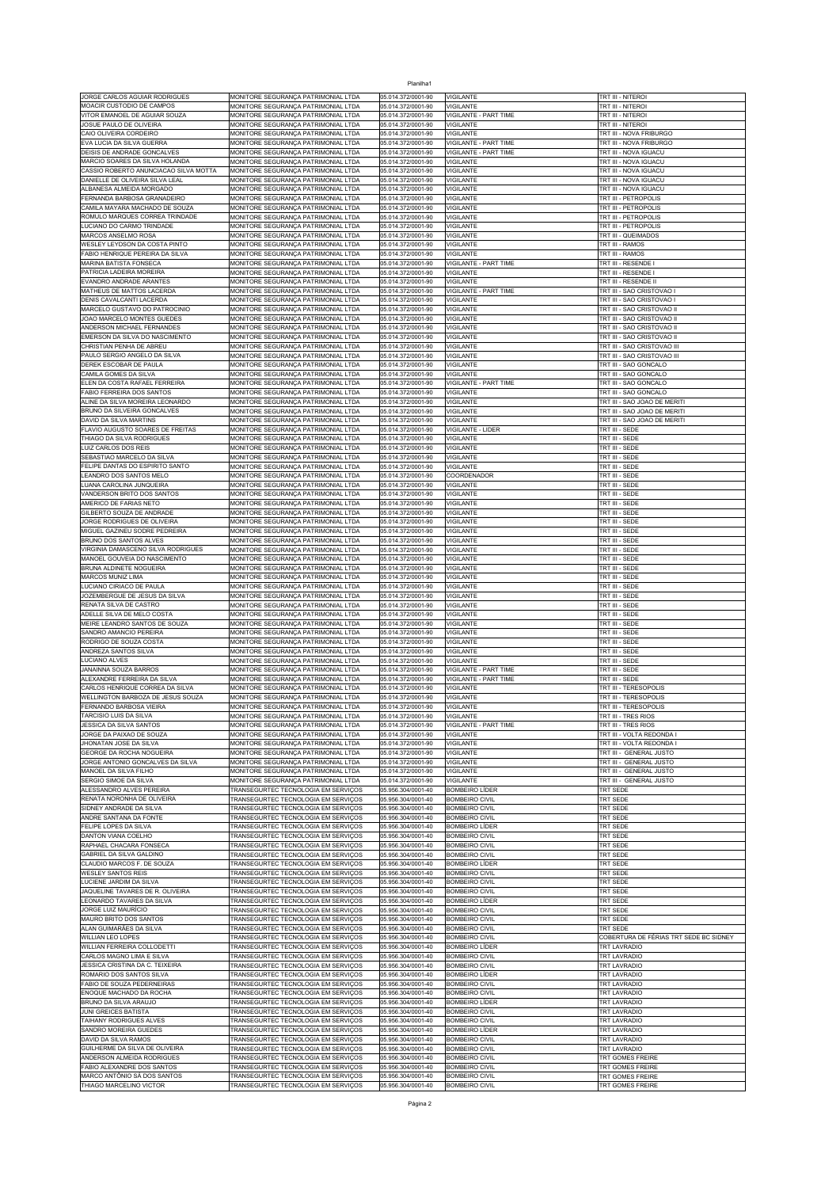| Planilha1                                                   |                                     |                    |                              |                                        |  |  |  |  |
|-------------------------------------------------------------|-------------------------------------|--------------------|------------------------------|----------------------------------------|--|--|--|--|
| JORGE CARLOS AGUIAR RODRIGUES                               | MONITORE SEGURANÇA PATRIMONIAL LTDA | 05.014.372/0001-90 | <b>VIGILANTE</b>             | TRT III - NITEROI                      |  |  |  |  |
| MOACIR CUSTODIO DE CAMPOS                                   | MONITORE SEGURANÇA PATRIMONIAL LTDA | 05.014.372/0001-90 | VIGILANTE                    | TRT III - NITEROI                      |  |  |  |  |
| VITOR EMANOEL DE AGUIAR SOUZA                               | MONITORE SEGURANÇA PATRIMONIAL LTDA | 05.014.372/0001-90 | VIGILANTE - PART TIME        | trt III - Niteroi                      |  |  |  |  |
| JOSUE PAULO DE OLIVEIRA                                     | MONITORE SEGURANÇA PATRIMONIAL LTDA | 05.014.372/0001-90 | VIGILANTE                    | TRT III - NITEROI                      |  |  |  |  |
| CAIO OLIVEIRA CORDEIRO                                      | MONITORE SEGURANÇA PATRIMONIAL LTDA | 05.014.372/0001-90 | <b>VIGILANTE</b>             | TRT III - NOVA FRIBURGO                |  |  |  |  |
| EVA LUCIA DA SILVA GUERRA                                   | MONITORE SEGURANÇA PATRIMONIAL LTDA | 05.014.372/0001-90 | VIGILANTE - PART TIME        | TRT III - NOVA FRIBURGO                |  |  |  |  |
| DEISIS DE ANDRADE GONCALVES                                 | MONITORE SEGURANÇA PATRIMONIAL LTDA | 05.014.372/0001-90 | VIGILANTE - PART TIME        | TRT III - NOVA IGUACU                  |  |  |  |  |
| MARCIO SOARES DA SILVA HOLANDA                              | MONITORE SEGURANÇA PATRIMONIAL LTDA | 05.014.372/0001-90 | VIGILANTE                    | TRT III - NOVA IGUACU                  |  |  |  |  |
| CASSIO ROBERTO ANUNCIACAO SILVA MOTTA                       | MONITORE SEGURANÇA PATRIMONIAL LTDA | 05.014.372/0001-90 | VIGILANTE                    | TRT III - NOVA IGUACU                  |  |  |  |  |
| DANIELLE DE OLIVEIRA SILVA LEAL                             | MONITORE SEGURANÇA PATRIMONIAL LTDA | 05.014.372/0001-90 | <b>VIGILANTE</b>             | TRT III - NOVA IGUACU                  |  |  |  |  |
| ALBANESA ALMEIDA MORGADO                                    | MONITORE SEGURANÇA PATRIMONIAL LTDA | 05.014.372/0001-90 | VIGILANTE                    | TRT III - NOVA IGUACU                  |  |  |  |  |
| FERNANDA BARBOSA GRANADEIRO                                 | MONITORE SEGURANÇA PATRIMONIAL LTDA | 05.014.372/0001-90 | VIGILANTE                    | TRT III - PETROPOLIS                   |  |  |  |  |
| CAMILA MAYARA MACHADO DE SOUZA                              | MONITORE SEGURANÇA PATRIMONIAL LTDA | 05.014.372/0001-90 | VIGILANTE                    | TRT III - PETROPOLIS                   |  |  |  |  |
| ROMULO MARQUES CORREA TRINDADE                              | MONITORE SEGURANÇA PATRIMONIAL LTDA | 05.014.372/0001-90 | VIGILANTE                    | TRT III - PETROPOLIS                   |  |  |  |  |
| LUCIANO DO CARMO TRINDADE                                   | MONITORE SEGURANÇA PATRIMONIAL LTDA | 05.014.372/0001-90 | VIGILANTE                    | TRT III - PETROPOLIS                   |  |  |  |  |
| MARCOS ANSELMO ROSA                                         | MONITORE SEGURANÇA PATRIMONIAL LTDA | 05.014.372/0001-90 | VIGILANTE                    | TRT III - QUEIMADOS                    |  |  |  |  |
| WESLEY LEYDSON DA COSTA PINTO                               | MONITORE SEGURANÇA PATRIMONIAL LTDA | 05.014.372/0001-90 | VIGILANTE                    | TRT III - RAMOS                        |  |  |  |  |
| FABIO HENRIQUE PEREIRA DA SILVA                             | MONITORE SEGURANÇA PATRIMONIAL LTDA | 05.014.372/0001-90 | VIGILANTE                    | TRT III - RAMOS                        |  |  |  |  |
| MARINA BATISTA FONSECA                                      | MONITORE SEGURANÇA PATRIMONIAL LTDA | 05.014.372/0001-90 | VIGILANTE - PART TIME        | TRT III - RESENDE                      |  |  |  |  |
| PATRICIA LADEIRA MOREIRA                                    | MONITORE SEGURANÇA PATRIMONIAL LTDA | 05.014.372/0001-90 | <b>VIGILANTE</b>             | TRT III - RESENDE                      |  |  |  |  |
| EVANDRO ANDRADE ARANTES                                     | MONITORE SEGURANÇA PATRIMONIAL LTDA | 05.014.372/0001-90 | VIGILANTE                    | TRT III - RESENDE II                   |  |  |  |  |
| MATHEUS DE MATTOS LACERDA                                   | MONITORE SEGURANÇA PATRIMONIAL LTDA | 05.014.372/0001-90 | VIGILANTE - PART TIME        | TRT III - SAO CRISTOVAO I              |  |  |  |  |
| DENIS CAVALCANTI LACERDA                                    | MONITORE SEGURANÇA PATRIMONIAL LTDA | 05.014.372/0001-90 | VIGILANTE                    | TRT III - SAO CRISTOVAO I              |  |  |  |  |
| MARCELO GUSTAVO DO PATROCINIO                               | MONITORE SEGURANÇA PATRIMONIAL LTDA | 05.014.372/0001-90 | VIGILANTE                    | TRT III - SAO CRISTOVAO II             |  |  |  |  |
| JOAO MARCELO MONTES GUEDES                                  | MONITORE SEGURANÇA PATRIMONIAL LTDA | 05.014.372/0001-90 | VIGILANTE                    | TRT III - SAO CRISTOVAO II             |  |  |  |  |
| ANDERSON MICHAEL FERNANDES                                  | MONITORE SEGURANÇA PATRIMONIAL LTDA | 05.014.372/0001-90 | VIGILANTE                    | TRT III - SAO CRISTOVAO II             |  |  |  |  |
| EMERSON DA SILVA DO NASCIMENTO                              | MONITORE SEGURANÇA PATRIMONIAL LTDA | 05.014.372/0001-90 | VIGILANTE                    | TRT III - SAO CRISTOVAO II             |  |  |  |  |
| CHRISTIAN PENHA DE ABREU                                    | MONITORE SEGURANÇA PATRIMONIAL LTDA | 05.014.372/0001-90 | VIGILANTE                    | TRT III - SAO CRISTOVAO III            |  |  |  |  |
| PAULO SERGIO ANGELO DA SILVA                                | MONITORE SEGURANÇA PATRIMONIAL LTDA | 05.014.372/0001-90 | VIGILANTE                    | TRT III - SAO CRISTOVAO III            |  |  |  |  |
| DEREK ESCOBAR DE PAULA                                      | MONITORE SEGURANÇA PATRIMONIAL LTDA | 05.014.372/0001-90 | VIGILANTE                    | TRT III - SAO GONCALO                  |  |  |  |  |
| CAMILA GOMES DA SILVA                                       | MONITORE SEGURANÇA PATRIMONIAL LTDA | 05.014.372/0001-90 | VIGILANTE                    | TRT III - SAO GONCALO                  |  |  |  |  |
| ELEN DA COSTA RAFAEL FERREIRA                               | MONITORE SEGURANÇA PATRIMONIAL LTDA | 05.014.372/0001-90 | <b>VIGILANTE - PART TIME</b> | TRT III - SAO GONCALO                  |  |  |  |  |
| FABIO FERREIRA DOS SANTOS                                   | MONITORE SEGURANÇA PATRIMONIAL LTDA | 05.014.372/0001-90 | VIGILANTE                    | TRT III - SAO GONCALO                  |  |  |  |  |
| ALINE DA SILVA MOREIRA LEONARDO                             | MONITORE SEGURANÇA PATRIMONIAL LTDA | 05.014.372/0001-90 | VIGILANTE                    | TRT III - SAO JOAO DE MERITI           |  |  |  |  |
| BRUNO DA SILVEIRA GONCALVES                                 | MONITORE SEGURANÇA PATRIMONIAL LTDA | 05.014.372/0001-90 | VIGILANTE                    | TRT III - SAO JOAO DE MERITI           |  |  |  |  |
| DAVID DA SILVA MARTINS                                      | MONITORE SEGURANÇA PATRIMONIAL LTDA | 05.014.372/0001-90 | VIGILANTE                    | TRT III - SAO JOAO DE MERITI           |  |  |  |  |
| FLAVIO AUGUSTO SOARES DE FREITAS                            | MONITORE SEGURANÇA PATRIMONIAL LTDA | 05.014.372/0001-90 | VIGILANTE - LIDER            | TRT III - SEDE                         |  |  |  |  |
| THIAGO DA SILVA RODRIGUES                                   | MONITORE SEGURANÇA PATRIMONIAL LTDA | 05.014.372/0001-90 | VIGILANTE                    | TRT III - SEDE                         |  |  |  |  |
| LUIZ CARLOS DOS REIS                                        | MONITORE SEGURANÇA PATRIMONIAL LTDA | 05.014.372/0001-90 | VIGILANTE                    | TRT III - SEDE                         |  |  |  |  |
| SEBASTIAO MARCELO DA SILVA                                  | MONITORE SEGURANÇA PATRIMONIAL LTDA | 05.014.372/0001-90 | VIGILANTE                    | TRT III - SEDE                         |  |  |  |  |
| FELIPE DANTAS DO ESPIRITO SANTO                             | MONITORE SEGURANÇA PATRIMONIAL LTDA | 05.014.372/0001-90 | VIGILANTE                    | TRT III - SEDE                         |  |  |  |  |
| LEANDRO DOS SANTOS MELO                                     | MONITORE SEGURANÇA PATRIMONIAL LTDA | 05.014.372/0001-90 | COORDENADOR                  | TRT III - SEDE                         |  |  |  |  |
| LUANA CAROLINA JUNQUEIRA                                    | MONITORE SEGURANÇA PATRIMONIAL LTDA | 05.014.372/0001-90 | VIGILANTE                    | TRT III - SEDE                         |  |  |  |  |
| VANDERSON BRITO DOS SANTOS                                  | MONITORE SEGURANÇA PATRIMONIAL LTDA | 05.014.372/0001-90 | VIGILANTE                    | TRT III - SEDE                         |  |  |  |  |
| AMERICO DE FARIAS NETO                                      | MONITORE SEGURANÇA PATRIMONIAL LTDA | 05.014.372/0001-90 | VIGILANTE                    | TRT III - SEDE                         |  |  |  |  |
| GILBERTO SOUZA DE ANDRADE                                   | MONITORE SEGURANÇA PATRIMONIAL LTDA | 05.014.372/0001-90 | VIGILANTE                    | TRT III - SEDE                         |  |  |  |  |
| JORGE RODRIGUES DE OLIVEIRA                                 | MONITORE SEGURANÇA PATRIMONIAL LTDA | 05.014.372/0001-90 | VIGILANTE                    | TRT III - SEDE                         |  |  |  |  |
| MIGUEL GAZINEU SODRE PEDREIRA                               | MONITORE SEGURANÇA PATRIMONIAL LTDA | 05.014.372/0001-90 | VIGILANTE                    | TRT III - SEDE                         |  |  |  |  |
| BRUNO DOS SANTOS ALVES                                      | MONITORE SEGURANÇA PATRIMONIAL LTDA | 05.014.372/0001-90 | VIGILANTE                    | TRT III - SEDE                         |  |  |  |  |
| VIRGINIA DAMASCENO SILVA RODRIGUES                          | MONITORE SEGURANÇA PATRIMONIAL LTDA | 05.014.372/0001-90 | VIGILANTE                    | TRT III - SEDE                         |  |  |  |  |
| MANOEL GOUVEIA DO NASCIMENTO                                | MONITORE SEGURANÇA PATRIMONIAL LTDA | 05.014.372/0001-90 | VIGILANTE                    | TRT III - SEDE                         |  |  |  |  |
| BRUNA ALDINETE NOGUEIRA                                     | MONITORE SEGURANÇA PATRIMONIAL LTDA | 05.014.372/0001-90 | VIGILANTE                    | TRT III - SEDE                         |  |  |  |  |
| MARCOS MUNIZ LIMA                                           | MONITORE SEGURANÇA PATRIMONIAL LTDA | 05.014.372/0001-90 | VIGILANTE                    | TRT III - SEDE                         |  |  |  |  |
| LUCIANO CIRIACO DE PAULA                                    | MONITORE SEGURANÇA PATRIMONIAL LTDA | 05.014.372/0001-90 | VIGILANTE                    | TRT III - SEDE                         |  |  |  |  |
| JOZEMBERGUE DE JESUS DA SILVA                               | MONITORE SEGURANÇA PATRIMONIAL LTDA | 05.014.372/0001-90 | VIGILANTE                    | TRT III - SEDE                         |  |  |  |  |
| RENATA SILVA DE CASTRO                                      | MONITORE SEGURANÇA PATRIMONIAL LTDA | 05.014.372/0001-90 | VIGILANTE                    | TRT III - SEDE                         |  |  |  |  |
| ADELLE SILVA DE MELO COSTA<br>MEIRE LEANDRO SANTOS DE SOUZA | MONITORE SEGURANÇA PATRIMONIAL LTDA | 05.014.372/0001-90 | VIGILANTE                    | TRT III - SEDE                         |  |  |  |  |
| SANDRO AMANCIO PEREIRA                                      | MONITORE SEGURANÇA PATRIMONIAL LTDA | 05.014.372/0001-90 | VIGILANTE                    | TRT III - SEDE                         |  |  |  |  |
|                                                             | MONITORE SEGURANÇA PATRIMONIAL LTDA | 05.014.372/0001-90 | VIGILANTE                    | TRT III - SEDE                         |  |  |  |  |
| RODRIGO DE SOUZA COSTA                                      | MONITORE SEGURANÇA PATRIMONIAL LTDA | 05.014.372/0001-90 | VIGILANTE                    | TRT III - SEDE                         |  |  |  |  |
| ANDREZA SANTOS SILVA                                        | MONITORE SEGURANÇA PATRIMONIAL LTDA | 05.014.372/0001-90 | VIGILANTE                    | TRT III - SEDE                         |  |  |  |  |
| LUCIANO ALVES                                               | MONITORE SEGURANÇA PATRIMONIAL LTDA | 05.014.372/0001-90 | VIGILANTE                    | TRT III - SEDE                         |  |  |  |  |
| JANAINNA SOUZA BARROS                                       | MONITORE SEGURANÇA PATRIMONIAL LTDA | 05.014.372/0001-90 | VIGILANTE - PART TIME        | TRT III - SEDE                         |  |  |  |  |
| ALEXANDRE FERREIRA DA SILVA                                 | MONITORE SEGURANÇA PATRIMONIAL LTDA | 05.014.372/0001-90 | VIGILANTE - PART TIME        | TRT III - SEDE                         |  |  |  |  |
| CARLOS HENRIQUE CORREA DA SILVA                             | MONITORE SEGURANÇA PATRIMONIAL LTDA | 05.014.372/0001-90 | VIGILANTE                    | TRT III - TERESOPOLIS                  |  |  |  |  |
| WELLINGTON BARBOZA DE JESUS SOUZA                           | MONITORE SEGURANÇA PATRIMONIAL LTDA | 05.014.372/0001-90 | VIGILANTE                    | TRT III - TERESOPOLIS                  |  |  |  |  |
| FERNANDO BARBOSA VIEIRA                                     | MONITORE SEGURANÇA PATRIMONIAL LTDA | 05.014.372/0001-90 | <b>VIGILANTE</b>             | TRT III - TERESOPOLIS                  |  |  |  |  |
| TARCISIO LUIS DA SILVA                                      | MONITORE SEGURANÇA PATRIMONIAL LTDA | 05.014.372/0001-90 | VIGILANTE                    | TRT III - TRES RIOS                    |  |  |  |  |
| JESSICA DA SILVA SANTOS                                     | MONITORE SEGURANÇA PATRIMONIAL LTDA | 05.014.372/0001-90 | VIGILANTE - PART TIME        | TRT III - TRES RIOS                    |  |  |  |  |
| JORGE DA PAIXAO DE SOUZA                                    | MONITORE SEGURANÇA PATRIMONIAL LTDA | 05.014.372/0001-90 | <b>VIGILANTE</b>             | TRT III - VOLTA REDONDA I              |  |  |  |  |
| JHONATAN JOSE DA SILVA                                      | MONITORE SEGURANÇA PATRIMONIAL LTDA | 05.014.372/0001-90 | VIGILANTE                    | TRT III - VOLTA REDONDA I              |  |  |  |  |
| GEORGE DA ROCHA NOGUEIRA                                    | MONITORE SEGURANÇA PATRIMONIAL LTDA | 05.014.372/0001-90 | VIGILANTE                    | TRT III - GENERAL JUSTO                |  |  |  |  |
| JORGE ANTONIO GONCALVES DA SILVA                            | MONITORE SEGURANÇA PATRIMONIAL LTDA | 05.014.372/0001-90 | VIGILANTE                    | TRT III - GENERAL JUSTO                |  |  |  |  |
| MANOEL DA SILVA FILHO                                       | MONITORE SEGURANÇA PATRIMONIAL LTDA | 05.014.372/0001-90 | VIGILANTE                    | TRT III - GENERAL JUSTO                |  |  |  |  |
| SERGIO SIMOE DA SILVA                                       | MONITORE SEGURANÇA PATRIMONIAL LTDA | 05.014.372/0001-90 | <b>VIGILANTE</b>             | TRT III - GENERAL JUSTO                |  |  |  |  |
| ALESSANDRO ALVES PEREIRA                                    | TRANSEGURTEC TECNOLOGIA EM SERVIÇOS | 05.956.304/0001-40 | <b>BOMBEIRO LÍDER</b>        | TRT SEDE                               |  |  |  |  |
| RENATA NORONHA DE OLIVEIRA                                  | TRANSEGURTEC TECNOLOGIA EM SERVIÇOS | 05.956.304/0001-40 | <b>BOMBEIRO CIVIL</b>        | TRT SEDE                               |  |  |  |  |
| SIDNEY ANDRADE DA SILVA                                     | TRANSEGURTEC TECNOLOGIA EM SERVIÇOS | 05.956.304/0001-40 | <b>BOMBEIRO CIVIL</b>        | TRT SEDE                               |  |  |  |  |
| ANDRE SANTANA DA FONTE                                      | TRANSEGURTEC TECNOLOGIA EM SERVIÇOS | 05.956.304/0001-40 | <b>BOMBEIRO CIVIL</b>        | TRT SEDE                               |  |  |  |  |
| FELIPE LOPES DA SILVA                                       | TRANSEGURTEC TECNOLOGIA EM SERVIÇOS | 05.956.304/0001-40 | <b>BOMBEIRO LÍDER</b>        | TRT SEDE                               |  |  |  |  |
| DANTON VIANA COELHO                                         | TRANSEGURTEC TECNOLOGIA EM SERVIÇOS | 05.956.304/0001-40 | <b>BOMBEIRO CIVIL</b>        | TRT SEDE                               |  |  |  |  |
| RAPHAEL CHACARA FONSECA                                     | TRANSEGURTEC TECNOLOGIA EM SERVIÇOS | 05.956.304/0001-40 | <b>BOMBEIRO CIVIL</b>        | TRT SEDE                               |  |  |  |  |
| GABRIEL DA SILVA GALDINO                                    | TRANSEGURTEC TECNOLOGIA EM SERVIÇOS | 05.956.304/0001-40 | <b>BOMBEIRO CIVIL</b>        |                                        |  |  |  |  |
| CLAUDIO MARCOS F. DE SOUZA                                  | TRANSEGURTEC TECNOLOGIA EM SERVIÇOS | 05.956.304/0001-40 | BOMBEIRO LÍDER               | TRT SEDE<br>TRT SEDE                   |  |  |  |  |
| WESLEY SANTOS REIS                                          | TRANSEGURTEC TECNOLOGIA EM SERVIÇOS | 05.956.304/0001-40 | <b>BOMBEIRO CIVIL</b>        | TRT SEDE                               |  |  |  |  |
| LUCIENE JARDIM DA SILVA                                     | TRANSEGURTEC TECNOLOGIA EM SERVIÇOS | 05.956.304/0001-40 | <b>BOMBEIRO CIVIL</b>        | TRT SEDE                               |  |  |  |  |
| JAQUELINE TAVARES DE R. OLIVEIRA                            | TRANSEGURTEC TECNOLOGIA EM SERVIÇOS | 05.956.304/0001-40 | <b>BOMBEIRO CIVIL</b>        | TRT SEDE                               |  |  |  |  |
| LEONARDO TAVARES DA SILVA                                   | TRANSEGURTEC TECNOLOGIA EM SERVIÇOS | 05.956.304/0001-40 | <b>BOMBEIRO LÍDER</b>        | TRT SEDE                               |  |  |  |  |
| JORGE LUIZ MAURÍCIO                                         | TRANSEGURTEC TECNOLOGIA EM SERVIÇOS | 05.956.304/0001-40 | <b>BOMBEIRO CIVIL</b>        | TRT SEDE                               |  |  |  |  |
| MAURO BRITO DOS SANTOS                                      | TRANSEGURTEC TECNOLOGIA EM SERVIÇOS | 05.956.304/0001-40 | <b>BOMBEIRO CIVIL</b>        | TRT SEDE                               |  |  |  |  |
| ALAN GUIMARÃES DA SILVA                                     | TRANSEGURTEC TECNOLOGIA EM SERVIÇOS | 05.956.304/0001-40 | <b>BOMBEIRO CIVIL</b>        | <b>TRT SEDE</b>                        |  |  |  |  |
| WILLIAN LEO LOPES                                           | TRANSEGURTEC TECNOLOGIA EM SERVIÇOS | 05.956.304/0001-40 | <b>BOMBEIRO CIVIL</b>        | COBERTURA DE FÉRIAS TRT SEDE BC SIDNEY |  |  |  |  |
| WILLIAN FERREIRA COLLODETTI                                 | TRANSEGURTEC TECNOLOGIA EM SERVIÇOS | 05.956.304/0001-40 | <b>BOMBEIRO LÍDER</b>        | TRT LAVRADIO                           |  |  |  |  |
| CARLOS MAGNO LIMA E SILVA                                   | TRANSEGURTEC TECNOLOGIA EM SERVIÇOS | 05.956.304/0001-40 | <b>BOMBEIRO CIVIL</b>        | TRT LAVRADIO                           |  |  |  |  |
| JESSICA CRISTINA DA C. TEIXEIRA                             | TRANSEGURTEC TECNOLOGIA EM SERVIÇOS | 05.956.304/0001-40 | <b>BOMBEIRO CIVIL</b>        | <b>TRT LAVRADIO</b>                    |  |  |  |  |
| ROMARIO DOS SANTOS SILVA                                    | TRANSEGURTEC TECNOLOGIA EM SERVIÇOS | 05.956.304/0001-40 | <b>BOMBEIRO LÍDER</b>        | TRT LAVRADIO                           |  |  |  |  |
| FABIO DE SOUZA PEDERNEIRAS                                  | TRANSEGURTEC TECNOLOGIA EM SERVIÇOS | 05.956.304/0001-40 | <b>BOMBEIRO CIVIL</b>        | <b>TRT LAVRADIO</b>                    |  |  |  |  |
| ENOQUE MACHADO DA ROCHA                                     | TRANSEGURTEC TECNOLOGIA EM SERVIÇOS | 05.956.304/0001-40 | <b>BOMBEIRO CIVIL</b>        | TRT LAVRADIO                           |  |  |  |  |
| BRUNO DA SILVA ARAUJO                                       | TRANSEGURTEC TECNOLOGIA EM SERVIÇOS | 05.956.304/0001-40 | <b>BOMBEIRO LÍDER</b>        | TRT LAVRADIO                           |  |  |  |  |
| JUNI GREICES BATISTA                                        | TRANSEGURTEC TECNOLOGIA EM SERVIÇOS | 05.956.304/0001-40 | <b>BOMBEIRO CIVIL</b>        | <b>TRT LAVRADIO</b>                    |  |  |  |  |
| TAIHANY RODRIGUES ALVES                                     | TRANSEGURTEC TECNOLOGIA EM SERVIÇOS | 05.956.304/0001-40 | <b>BOMBEIRO CIVIL</b>        | TRT LAVRADIO                           |  |  |  |  |
| SANDRO MOREIRA GUEDES                                       | TRANSEGURTEC TECNOLOGIA EM SERVIÇOS | 05.956.304/0001-40 | <b>BOMBEIRO LÍDER</b>        | TRT LAVRADIO                           |  |  |  |  |
| DAVID DA SILVA RAMOS                                        | TRANSEGURTEC TECNOLOGIA EM SERVIÇOS | 05.956.304/0001-40 | <b>BOMBEIRO CIVIL</b>        | TRT LAVRADIO                           |  |  |  |  |
| GUILHERME DA SILVA DE OLIVEIRA                              | TRANSEGURTEC TECNOLOGIA EM SERVIÇOS | 05.956.304/0001-40 | <b>BOMBEIRO CIVIL</b>        | TRT LAVRADIO                           |  |  |  |  |
| ANDERSON ALMEIDA RODRIGUES                                  | TRANSEGURTEC TECNOLOGIA EM SERVIÇOS | 05.956.304/0001-40 | <b>BOMBEIRO CIVIL</b>        | TRT GOMES FREIRE                       |  |  |  |  |
| FABIO ALEXANDRE DOS SANTOS                                  | TRANSEGURTEC TECNOLOGIA EM SERVIÇOS | 05.956.304/0001-40 | <b>BOMBEIRO CIVIL</b>        | TRT GOMES FREIRE                       |  |  |  |  |
| MARCO ANTÔNIO SÁ DOS SANTOS                                 | TRANSEGURTEC TECNOLOGIA EM SERVIÇOS | 05.956.304/0001-40 | <b>BOMBEIRO CIVIL</b>        | TRT GOMES FREIRE                       |  |  |  |  |
| THIAGO MARCELINO VICTOR                                     | TRANSEGURTEC TECNOLOGIA EM SERVIÇOS | 05.956.304/0001-40 | <b>BOMBEIRO CIVIL</b>        | TRT GOMES FREIRE                       |  |  |  |  |